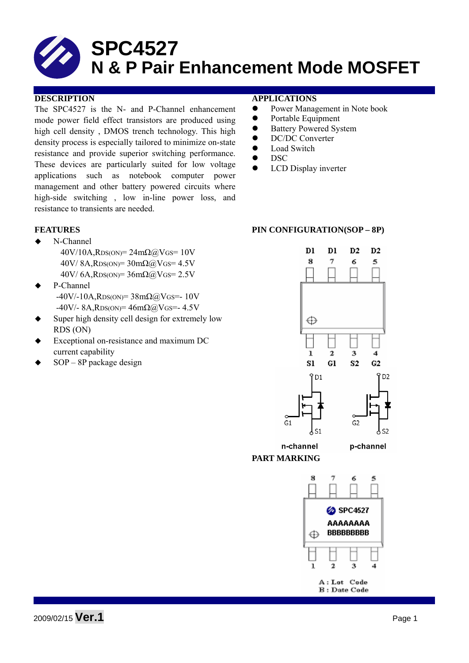The SPC4527 is the N- and P-Channel enhancement mode power field effect transistors are produced using high cell density , DMOS trench technology. This high density process is especially tailored to minimize on-state resistance and provide superior switching performance. These devices are particularly suited for low voltage applications such as notebook computer power management and other battery powered circuits where high-side switching , low in-line power loss, and resistance to transients are needed.

- ◆ N-Channel  $40V/10A$ , RDS(ON)=  $24m\Omega$  (a) VGS= 10V  $40V/ 8A$ , RDS(ON)=  $30m\Omega$  (a) VGS= 4.5V  $40V/6A$ , RDS(ON)=  $36m\Omega$ @VGS=  $2.5V$
- P-Channel  $-40V/-10A$ , RDS(ON)= 38mΩ@VGS=- 10V  $-40V/- 8A$ , RDS(ON)=  $46m\Omega$ @VGS=- 4.5V
- Super high density cell design for extremely low RDS (ON)
- Exceptional on-resistance and maximum DC current capability
- SOP 8P package design

### **DESCRIPTION APPLICATIONS**

- Power Management in Note book
- Portable Equipment
- Battery Powered System
- DC/DC Converter
- Load Switch
- $\bullet$  DSC
- LCD Display inverter

### **FEATURES** PIN CONFIGURATION(SOP – 8P)



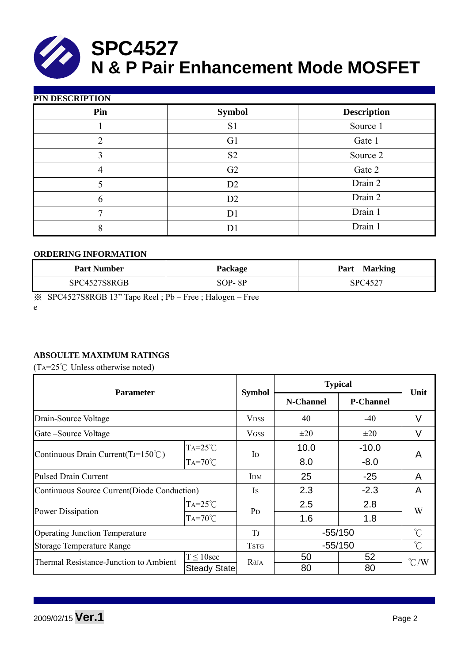| PIN DESCRIPTION |                |                    |  |  |  |  |  |
|-----------------|----------------|--------------------|--|--|--|--|--|
| Pin             | <b>Symbol</b>  | <b>Description</b> |  |  |  |  |  |
|                 | S <sub>1</sub> | Source 1           |  |  |  |  |  |
| 2               | G <sub>1</sub> | Gate 1             |  |  |  |  |  |
| 3               | S <sub>2</sub> | Source 2           |  |  |  |  |  |
|                 | G2             | Gate 2             |  |  |  |  |  |
|                 | D2             | Drain 2            |  |  |  |  |  |
| 6               | D2             | Drain 2            |  |  |  |  |  |
|                 | D <sub>1</sub> | Drain 1            |  |  |  |  |  |
| 8               | D              | Drain 1            |  |  |  |  |  |

### **ORDERING INFORMATION**

| <b>Part Number</b> | <b>Package</b> | Part<br><b>Marking</b> |
|--------------------|----------------|------------------------|
| SPC4527S8RGB       | SOP-8P         | SPC4527                |

※ SPC4527S8RGB 13" Tape Reel ; Pb – Free ; Halogen – Free

e

# **ABSOULTE MAXIMUM RATINGS**

(TA= $25^{\circ}$ C Unless otherwise noted)

| <b>Parameter</b>                             |                     |                | <b>Typical</b> |                  |                     |  |
|----------------------------------------------|---------------------|----------------|----------------|------------------|---------------------|--|
|                                              |                     | <b>Symbol</b>  | N-Channel      | <b>P-Channel</b> | Unit                |  |
| Drain-Source Voltage                         |                     | <b>VDSS</b>    | 40             | $-40$            | V                   |  |
| Gate-Source Voltage                          |                     | <b>VGSS</b>    | $\pm 20$       | $\pm 20$         | V                   |  |
|                                              | $TA=25^{\circ}C$    | $\mathbf{I}$   | 10.0           | $-10.0$          | A                   |  |
| Continuous Drain Current(TJ=150 $\degree$ C) | $TA=70^{\circ}$ C   |                | 8.0            | $-8.0$           |                     |  |
| <b>Pulsed Drain Current</b>                  |                     | <b>IDM</b>     | 25             | $-25$            | A                   |  |
| Continuous Source Current(Diode Conduction)  |                     | Is             | 2.3            | $-2.3$           | A                   |  |
|                                              | $TA=25^{\circ}C$    | P <sub>D</sub> | 2.5            | 2.8              | W                   |  |
| <b>Power Dissipation</b>                     | $TA=70^{\circ}$ C   |                | 1.6            | 1.8              |                     |  |
| <b>Operating Junction Temperature</b>        |                     | T              | $-55/150$      |                  | $\int_{0}^{\infty}$ |  |
| <b>Storage Temperature Range</b>             |                     | <b>TSTG</b>    | $-55/150$      |                  | $\int_0^\infty$     |  |
| Thermal Resistance-Junction to Ambient       | $T \leq 10$ sec     | $R\theta$ JA   | 50             | 52               | $\degree$ C/W       |  |
|                                              | <b>Steady State</b> |                | 80             | 80               |                     |  |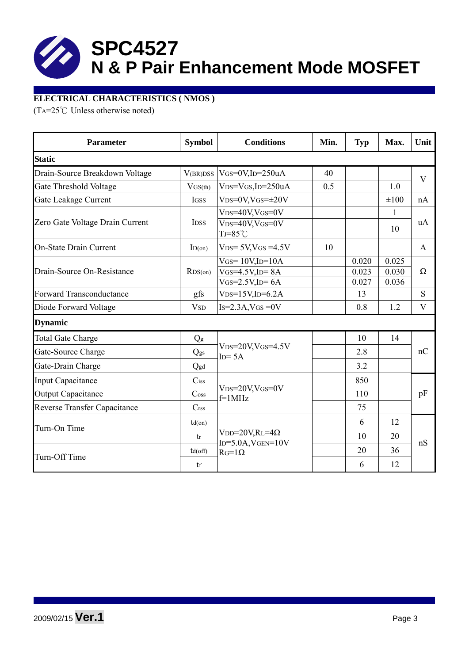

## **ELECTRICAL CHARACTERISTICS ( NMOS )**

(TA= $25^{\circ}$ C Unless otherwise noted)

| <b>Parameter</b>                    | <b>Symbol</b>               | <b>Conditions</b>                                  | Min. | <b>Typ</b> | Max.         | Unit     |  |  |
|-------------------------------------|-----------------------------|----------------------------------------------------|------|------------|--------------|----------|--|--|
| <b>Static</b>                       |                             |                                                    |      |            |              |          |  |  |
| Drain-Source Breakdown Voltage      | V(BR)DSS                    | $V$ GS=0V,ID=250uA                                 | 40   |            |              | V        |  |  |
| Gate Threshold Voltage              | VGS(th)                     | $VDS=VGS$ , ID=250uA                               | 0.5  |            | 1.0          |          |  |  |
| Gate Leakage Current                | IGSS                        | $VDS=0V$ , $VGS=\pm 20V$                           |      |            | $\pm 100$    | nA       |  |  |
|                                     |                             | $VDS=40V$ , $VGS=0V$                               |      |            | $\mathbf{1}$ | uA       |  |  |
| Zero Gate Voltage Drain Current     | <b>IDSS</b>                 | $V_{DS}=40V$ , $V_{GS}=0V$<br>$TJ = 85^{\circ}C$   |      |            | 10           |          |  |  |
| <b>On-State Drain Current</b>       | ID(on)                      | $VDS = 5V$ , $VGS = 4.5V$                          | 10   |            |              | A        |  |  |
|                                     |                             | $V$ GS= $10V$ , ID= $10A$                          |      | 0.020      | 0.025        |          |  |  |
| Drain-Source On-Resistance          | RDS(0n)                     | $V$ GS=4.5V,ID= $8A$                               |      | 0.023      | 0.030        | $\Omega$ |  |  |
|                                     |                             | $V$ GS=2.5V,ID=6A                                  |      | 0.027      | 0.036        |          |  |  |
| <b>Forward Transconductance</b>     | gfs                         | $VDS=15V$ , ID=6.2A                                |      | 13         |              | S        |  |  |
| Diode Forward Voltage               | <b>V</b> <sub>SD</sub>      | $Is=2.3A$ , $VGS=0V$                               |      | 0.8        | 1.2          | $\bf V$  |  |  |
| <b>Dynamic</b>                      |                             |                                                    |      |            |              |          |  |  |
| <b>Total Gate Charge</b>            | Qg                          |                                                    |      | 10         | 14           | nC       |  |  |
| Gate-Source Charge                  | Qgs                         | $V_{DS}=20V$ , $V_{GS}=4.5V$<br>$ID = 5A$          |      | 2.8        |              |          |  |  |
| Gate-Drain Charge                   | Qgd                         |                                                    |      | 3.2        |              |          |  |  |
| <b>Input Capacitance</b>            | $C$ iss                     |                                                    |      | 850        |              |          |  |  |
| <b>Output Capacitance</b>           | $\mathrm{C}$ <sub>oss</sub> | $V_{DS}=20V$ , $V_{GS}=0V$<br>$f=1MHz$             |      | 110        |              | pF       |  |  |
| <b>Reverse Transfer Capacitance</b> | C <sub>rss</sub>            |                                                    |      | 75         |              |          |  |  |
| Turn-On Time                        | $td($ on $)$                |                                                    |      | 6          | 12           | nS       |  |  |
|                                     | tr                          | $VDD=20V,RL=4\Omega$<br>$ID = 5.0A$ , $VGEN = 10V$ |      | 10         | 20           |          |  |  |
| Turn-Off Time                       | $td($ off $)$               | $RG=1\Omega$                                       |      | 20         | 36           |          |  |  |
|                                     | tf                          |                                                    |      | 6          | 12           |          |  |  |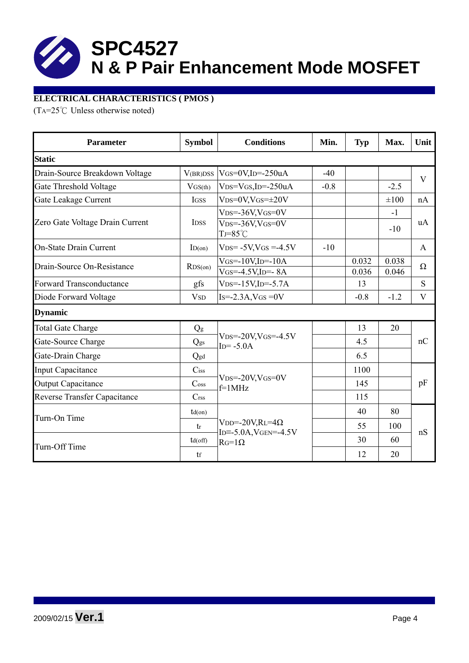# **ELECTRICAL CHARACTERISTICS ( PMOS )**

(TA=25°C Unless otherwise noted)

| <b>Parameter</b>                    | <b>Symbol</b>               |                                                            | <b>Conditions</b><br>Min. |        | Max.      | Unit                    |  |
|-------------------------------------|-----------------------------|------------------------------------------------------------|---------------------------|--------|-----------|-------------------------|--|
| <b>Static</b>                       |                             |                                                            |                           |        |           |                         |  |
| Drain-Source Breakdown Voltage      | V(BR)DSS                    | $V$ GS=0V,ID=-250uA                                        | $-40$                     |        |           | $\overline{\mathbf{V}}$ |  |
| Gate Threshold Voltage              | VGS(th)                     | $VDS=VGS$ , ID=-250uA                                      | $-0.8$                    |        | $-2.5$    |                         |  |
| Gate Leakage Current                | IGSS                        | $V$ DS=0V,VGS= $\pm$ 20V                                   |                           |        | $\pm 100$ | nA                      |  |
|                                     |                             | $VDS = -36V$ , $VGS = 0V$                                  |                           |        | $-1$      |                         |  |
| Zero Gate Voltage Drain Current     | <b>IDSS</b>                 | $V_{DS} = -36V$ , $V_{GS} = 0V$<br>$TJ = 85^{\circ}C$      |                           |        | $-10$     | uA                      |  |
| <b>On-State Drain Current</b>       | ID(on)                      | $VDS = -5V$ , $VGS = -4.5V$                                | $-10$                     |        |           | A                       |  |
| Drain-Source On-Resistance          | RDS(0n)                     | $V$ GS=-10V,ID=-10A                                        |                           | 0.032  | 0.038     | $\Omega$                |  |
|                                     |                             | $V$ GS=-4.5V,ID=-8A                                        |                           | 0.036  | 0.046     |                         |  |
| <b>Forward Transconductance</b>     | gfs                         | $VDS = -15V$ , $ID = -5.7A$                                |                           | 13     |           | S                       |  |
| Diode Forward Voltage               | <b>V</b> <sub>SD</sub>      | $Is = -2.3A$ , $V$ GS = 0V                                 |                           | $-0.8$ | $-1.2$    | V                       |  |
| <b>Dynamic</b>                      |                             |                                                            |                           |        |           |                         |  |
| <b>Total Gate Charge</b>            | Qg                          |                                                            |                           | 13     | 20        | nC                      |  |
| Gate-Source Charge                  | Qgs                         | $VDS = -20V$ , $VGS = -4.5V$<br>$ID = -5.0A$               |                           | 4.5    |           |                         |  |
| Gate-Drain Charge                   | Qgd                         |                                                            |                           | 6.5    |           |                         |  |
| <b>Input Capacitance</b>            | $C$ iss                     |                                                            |                           | 1100   |           |                         |  |
| <b>Output Capacitance</b>           | $\mathrm{C}$ <sub>oss</sub> | $V_{DS} = -20V$ , $V_{GS} = 0V$<br>$f=1$ MHz               |                           | 145    |           | pF                      |  |
| <b>Reverse Transfer Capacitance</b> | $C$ rss                     |                                                            |                           | 115    |           |                         |  |
| Turn-On Time                        | $td($ on $)$                |                                                            |                           | 40     | 80        |                         |  |
|                                     | tr                          | $VDD = -20V, RL = 4\Omega$<br>ID= $-5.0$ A, VGEN= $-4.5$ V |                           | 55     | 100       | nS                      |  |
| Turn-Off Time                       | $td($ off $)$               | $RG=1\Omega$                                               |                           | 30     | 60        |                         |  |
|                                     | tf                          |                                                            |                           | 12     | 20        |                         |  |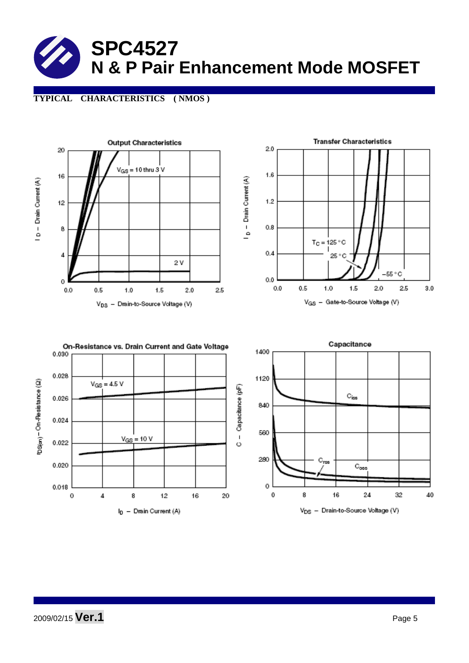# **TYPICAL CHARACTERISTICS ( NMOS )**



V<sub>DS</sub> - Drain-to-Source Voltage (V)

2009/02/15 **Ver.1** Page 5

I<sub>D</sub> - Drain Current (A)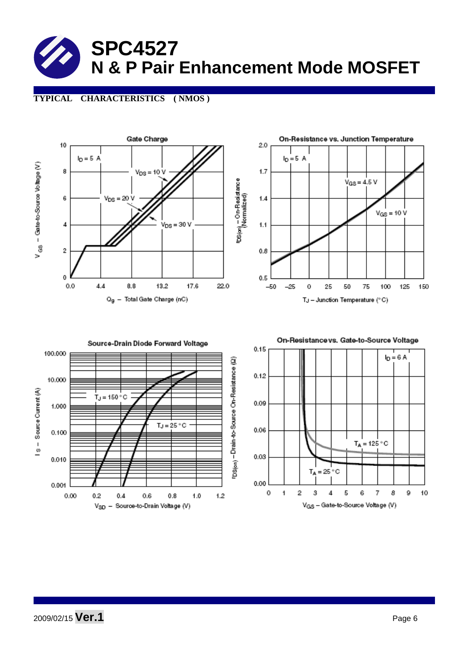

**TYPICAL CHARACTERISTICS ( NMOS )** 





0.09 0.06  $T_A = 125 °C$ 0.03  $=25^{\circ}$ C T. 0.00 0  $\overline{1}$  $\overline{2}$ 3  $\overline{4}$ 5 6 7 8 9 10 V<sub>GS</sub> - Gate-to-Source Voltage (V)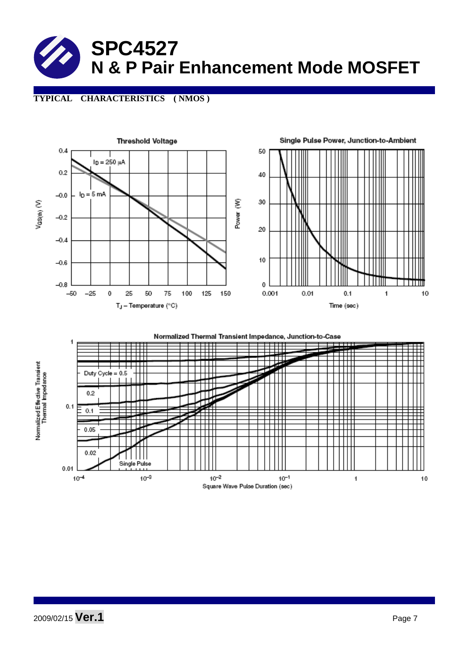

## **TYPICAL CHARACTERISTICS ( NMOS )**

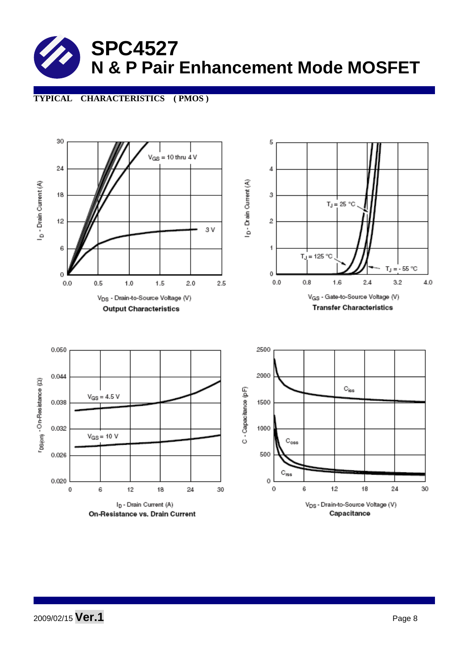## **TYPICAL CHARACTERISTICS ( PMOS )**



2009/02/15 **Ver.1** Page 8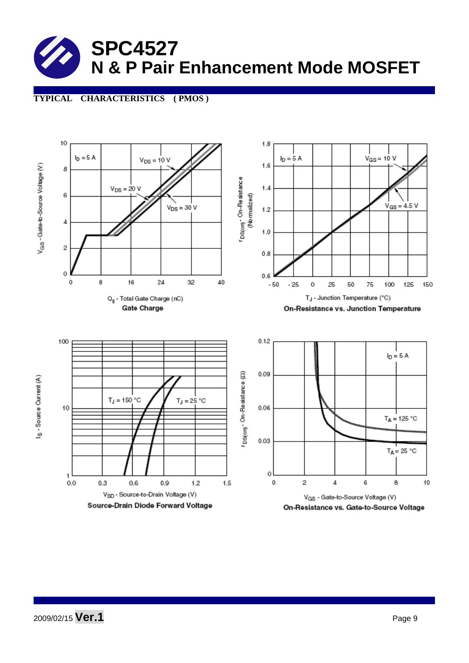# **TYPICAL CHARACTERISTICS ( PMOS )**



2009/02/15 **Ver.1** Page 9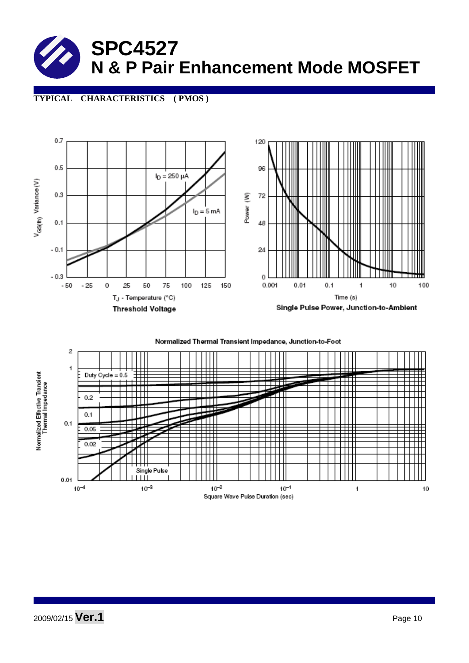

### **TYPICAL CHARACTERISTICS ( PMOS )**



Normalized Thermal Transient Impedance, Junction-to-Foot

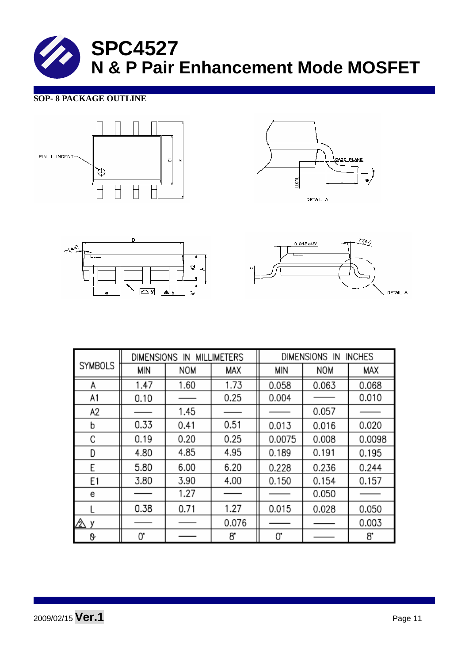# **SOP- 8 PACKAGE OUTLINE**









|                | <b>MILLIMETERS</b><br>DIMENSIONS IN |            |       | <b>INCHES</b><br>DIMENSIONS IN |            |        |  |
|----------------|-------------------------------------|------------|-------|--------------------------------|------------|--------|--|
| <b>SYMBOLS</b> | <b>MIN</b>                          | <b>NOM</b> | MAX   | MIN                            | <b>NOM</b> | MAX    |  |
| Α              | 1.47                                | 1.60       | 1.73  | 0.058                          | 0.063      | 0.068  |  |
| A1             | 0.10                                |            | 0.25  | 0.004                          |            | 0.010  |  |
| A2             |                                     | 1.45       |       |                                | 0.057      |        |  |
| b              | 0.33                                | 0.41       | 0.51  | 0.013                          | 0.016      | 0.020  |  |
| С              | 0.19                                | 0.20       | 0.25  | 0.0075                         | 0.008      | 0.0098 |  |
| D              | 4.80                                | 4.85       | 4.95  | 0.189                          | 0.191      | 0.195  |  |
| Ε              | 5.80                                | 6.00       | 6.20  | 0.228                          | 0.236      | 0.244  |  |
| E1             | 3.80                                | 3.90       | 4.00  | 0.150                          | 0.154      | 0.157  |  |
| e              |                                     | 1.27       |       |                                | 0.050      |        |  |
|                | 0.38                                | 0.71       | 1.27  | 0.015                          | 0.028      | 0.050  |  |
| Δу             |                                     |            | 0.076 |                                |            | 0.003  |  |
| 0              | 0.                                  |            | 8.    | 0.                             |            | 8.     |  |